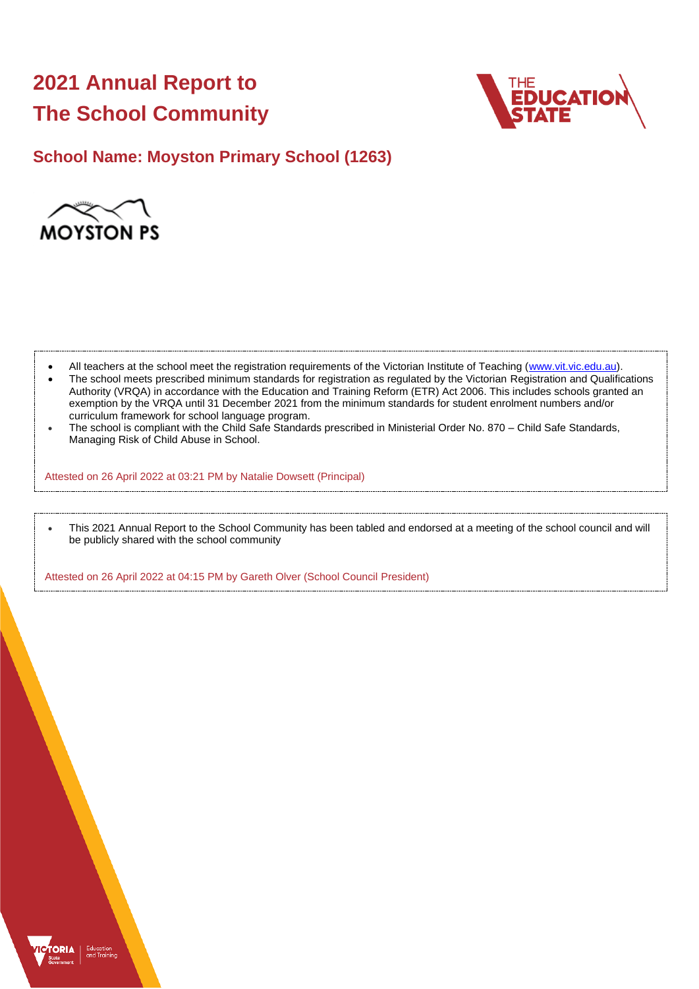# **2021 Annual Report to The School Community**



# **School Name: Moyston Primary School (1263)**



- All teachers at the school meet the registration requirements of the Victorian Institute of Teaching [\(www.vit.vic.edu.au\)](https://www.vit.vic.edu.au/).
- The school meets prescribed minimum standards for registration as regulated by the Victorian Registration and Qualifications Authority (VRQA) in accordance with the Education and Training Reform (ETR) Act 2006. This includes schools granted an exemption by the VRQA until 31 December 2021 from the minimum standards for student enrolment numbers and/or curriculum framework for school language program.
- The school is compliant with the Child Safe Standards prescribed in Ministerial Order No. 870 Child Safe Standards, Managing Risk of Child Abuse in School.

Attested on 26 April 2022 at 03:21 PM by Natalie Dowsett (Principal)

• This 2021 Annual Report to the School Community has been tabled and endorsed at a meeting of the school council and will be publicly shared with the school community

Attested on 26 April 2022 at 04:15 PM by Gareth Olver (School Council President)

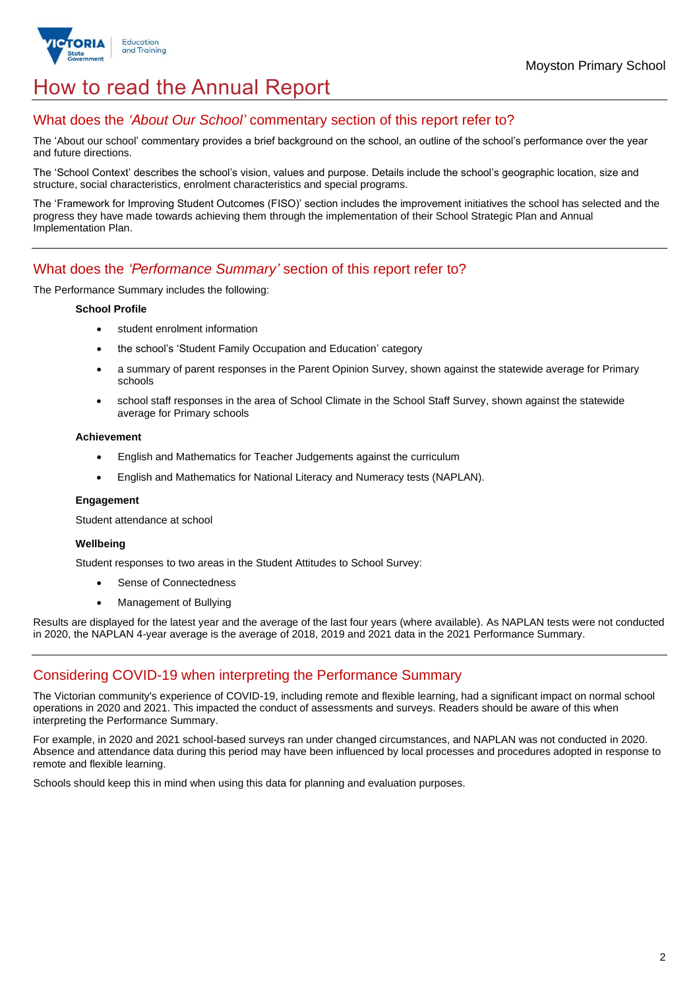

# How to read the Annual Report

## What does the *'About Our School'* commentary section of this report refer to?

The 'About our school' commentary provides a brief background on the school, an outline of the school's performance over the year and future directions.

The 'School Context' describes the school's vision, values and purpose. Details include the school's geographic location, size and structure, social characteristics, enrolment characteristics and special programs.

The 'Framework for Improving Student Outcomes (FISO)' section includes the improvement initiatives the school has selected and the progress they have made towards achieving them through the implementation of their School Strategic Plan and Annual Implementation Plan.

## What does the *'Performance Summary'* section of this report refer to?

The Performance Summary includes the following:

### **School Profile**

- student enrolment information
- the school's 'Student Family Occupation and Education' category
- a summary of parent responses in the Parent Opinion Survey, shown against the statewide average for Primary schools
- school staff responses in the area of School Climate in the School Staff Survey, shown against the statewide average for Primary schools

#### **Achievement**

- English and Mathematics for Teacher Judgements against the curriculum
- English and Mathematics for National Literacy and Numeracy tests (NAPLAN).

### **Engagement**

Student attendance at school

### **Wellbeing**

Student responses to two areas in the Student Attitudes to School Survey:

- Sense of Connectedness
- Management of Bullying

Results are displayed for the latest year and the average of the last four years (where available). As NAPLAN tests were not conducted in 2020, the NAPLAN 4-year average is the average of 2018, 2019 and 2021 data in the 2021 Performance Summary.

## Considering COVID-19 when interpreting the Performance Summary

The Victorian community's experience of COVID-19, including remote and flexible learning, had a significant impact on normal school operations in 2020 and 2021. This impacted the conduct of assessments and surveys. Readers should be aware of this when interpreting the Performance Summary.

For example, in 2020 and 2021 school-based surveys ran under changed circumstances, and NAPLAN was not conducted in 2020. Absence and attendance data during this period may have been influenced by local processes and procedures adopted in response to remote and flexible learning.

Schools should keep this in mind when using this data for planning and evaluation purposes.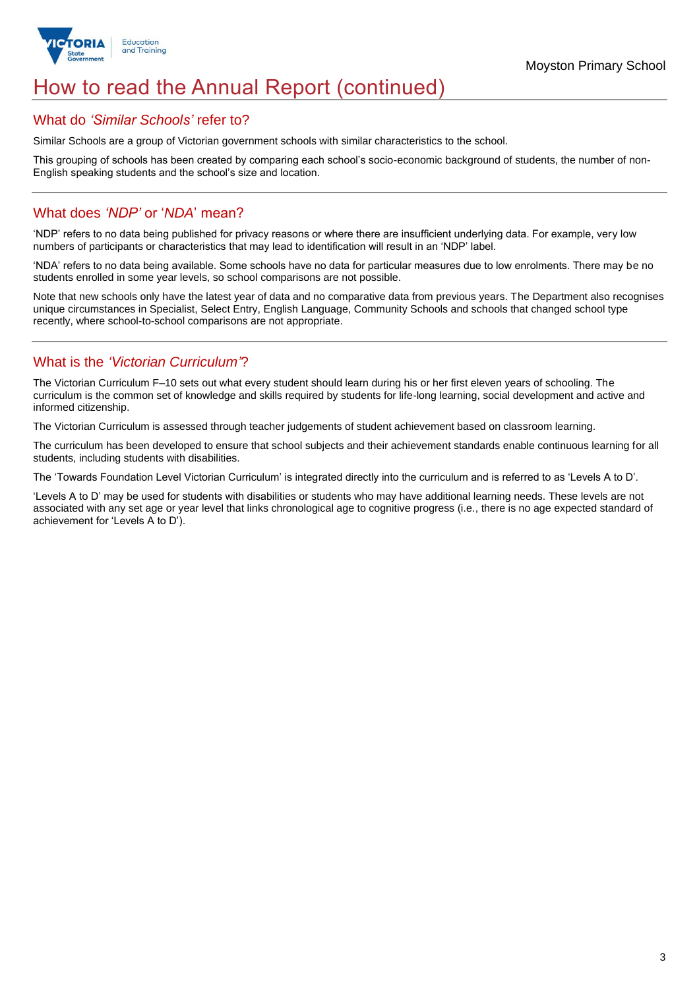

# How to read the Annual Report (continued)

## What do *'Similar Schools'* refer to?

Similar Schools are a group of Victorian government schools with similar characteristics to the school.

This grouping of schools has been created by comparing each school's socio-economic background of students, the number of non-English speaking students and the school's size and location.

## What does *'NDP'* or '*NDA*' mean?

'NDP' refers to no data being published for privacy reasons or where there are insufficient underlying data. For example, very low numbers of participants or characteristics that may lead to identification will result in an 'NDP' label.

'NDA' refers to no data being available. Some schools have no data for particular measures due to low enrolments. There may be no students enrolled in some year levels, so school comparisons are not possible.

Note that new schools only have the latest year of data and no comparative data from previous years. The Department also recognises unique circumstances in Specialist, Select Entry, English Language, Community Schools and schools that changed school type recently, where school-to-school comparisons are not appropriate.

## What is the *'Victorian Curriculum'*?

The Victorian Curriculum F–10 sets out what every student should learn during his or her first eleven years of schooling. The curriculum is the common set of knowledge and skills required by students for life-long learning, social development and active and informed citizenship.

The Victorian Curriculum is assessed through teacher judgements of student achievement based on classroom learning.

The curriculum has been developed to ensure that school subjects and their achievement standards enable continuous learning for all students, including students with disabilities.

The 'Towards Foundation Level Victorian Curriculum' is integrated directly into the curriculum and is referred to as 'Levels A to D'.

'Levels A to D' may be used for students with disabilities or students who may have additional learning needs. These levels are not associated with any set age or year level that links chronological age to cognitive progress (i.e., there is no age expected standard of achievement for 'Levels A to D').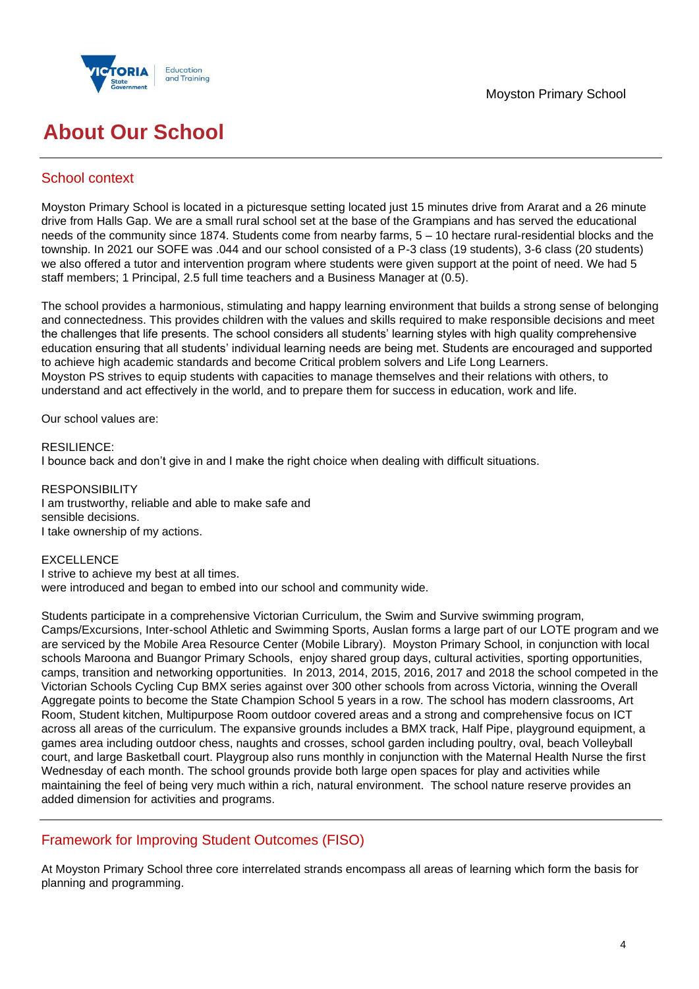



# **About Our School**

## School context

Moyston Primary School is located in a picturesque setting located just 15 minutes drive from Ararat and a 26 minute drive from Halls Gap. We are a small rural school set at the base of the Grampians and has served the educational needs of the community since 1874. Students come from nearby farms, 5 – 10 hectare rural-residential blocks and the township. In 2021 our SOFE was .044 and our school consisted of a P-3 class (19 students), 3-6 class (20 students) we also offered a tutor and intervention program where students were given support at the point of need. We had 5 staff members; 1 Principal, 2.5 full time teachers and a Business Manager at (0.5).

The school provides a harmonious, stimulating and happy learning environment that builds a strong sense of belonging and connectedness. This provides children with the values and skills required to make responsible decisions and meet the challenges that life presents. The school considers all students' learning styles with high quality comprehensive education ensuring that all students' individual learning needs are being met. Students are encouraged and supported to achieve high academic standards and become Critical problem solvers and Life Long Learners. Moyston PS strives to equip students with capacities to manage themselves and their relations with others, to understand and act effectively in the world, and to prepare them for success in education, work and life.

Our school values are:

RESILIENCE: I bounce back and don't give in and I make the right choice when dealing with difficult situations.

RESPONSIBILITY I am trustworthy, reliable and able to make safe and sensible decisions. I take ownership of my actions.

## EXCELLENCE

I strive to achieve my best at all times. were introduced and began to embed into our school and community wide.

Students participate in a comprehensive Victorian Curriculum, the Swim and Survive swimming program, Camps/Excursions, Inter-school Athletic and Swimming Sports, Auslan forms a large part of our LOTE program and we are serviced by the Mobile Area Resource Center (Mobile Library). Moyston Primary School, in conjunction with local schools Maroona and Buangor Primary Schools, enjoy shared group days, cultural activities, sporting opportunities, camps, transition and networking opportunities. In 2013, 2014, 2015, 2016, 2017 and 2018 the school competed in the Victorian Schools Cycling Cup BMX series against over 300 other schools from across Victoria, winning the Overall Aggregate points to become the State Champion School 5 years in a row. The school has modern classrooms, Art Room, Student kitchen, Multipurpose Room outdoor covered areas and a strong and comprehensive focus on ICT across all areas of the curriculum. The expansive grounds includes a BMX track, Half Pipe, playground equipment, a games area including outdoor chess, naughts and crosses, school garden including poultry, oval, beach Volleyball court, and large Basketball court. Playgroup also runs monthly in conjunction with the Maternal Health Nurse the first Wednesday of each month. The school grounds provide both large open spaces for play and activities while maintaining the feel of being very much within a rich, natural environment. The school nature reserve provides an added dimension for activities and programs.

# Framework for Improving Student Outcomes (FISO)

At Moyston Primary School three core interrelated strands encompass all areas of learning which form the basis for planning and programming.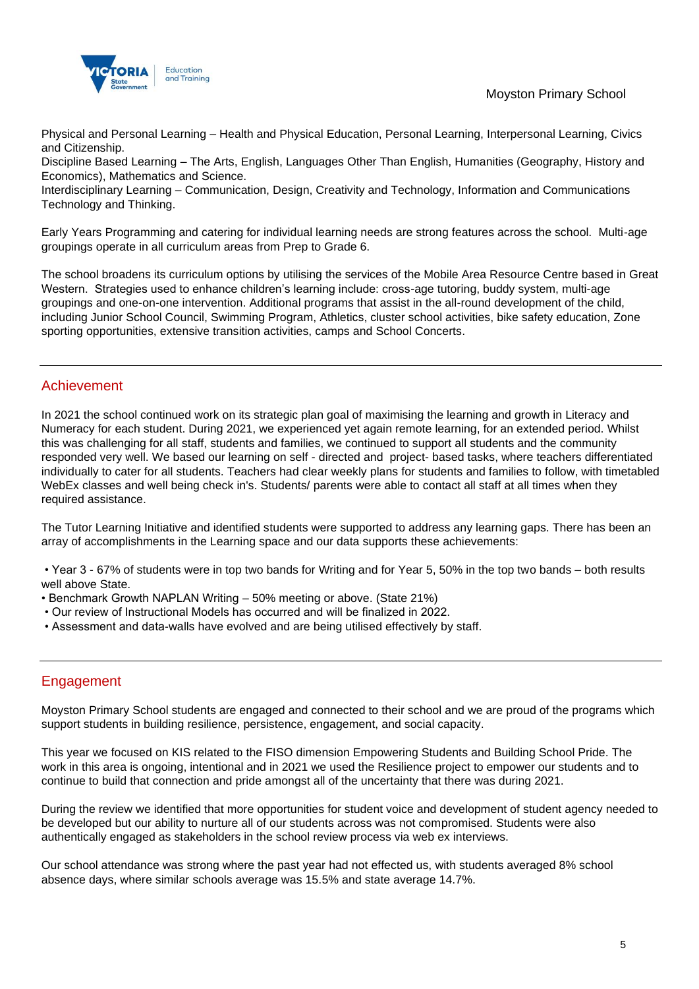

Physical and Personal Learning – Health and Physical Education, Personal Learning, Interpersonal Learning, Civics and Citizenship.

Discipline Based Learning – The Arts, English, Languages Other Than English, Humanities (Geography, History and Economics), Mathematics and Science.

Interdisciplinary Learning – Communication, Design, Creativity and Technology, Information and Communications Technology and Thinking.

Early Years Programming and catering for individual learning needs are strong features across the school. Multi-age groupings operate in all curriculum areas from Prep to Grade 6.

The school broadens its curriculum options by utilising the services of the Mobile Area Resource Centre based in Great Western. Strategies used to enhance children's learning include: cross-age tutoring, buddy system, multi-age groupings and one-on-one intervention. Additional programs that assist in the all-round development of the child, including Junior School Council, Swimming Program, Athletics, cluster school activities, bike safety education, Zone sporting opportunities, extensive transition activities, camps and School Concerts.

## Achievement

In 2021 the school continued work on its strategic plan goal of maximising the learning and growth in Literacy and Numeracy for each student. During 2021, we experienced yet again remote learning, for an extended period. Whilst this was challenging for all staff, students and families, we continued to support all students and the community responded very well. We based our learning on self - directed and project- based tasks, where teachers differentiated individually to cater for all students. Teachers had clear weekly plans for students and families to follow, with timetabled WebEx classes and well being check in's. Students/ parents were able to contact all staff at all times when they required assistance.

The Tutor Learning Initiative and identified students were supported to address any learning gaps. There has been an array of accomplishments in the Learning space and our data supports these achievements:

• Year 3 - 67% of students were in top two bands for Writing and for Year 5, 50% in the top two bands – both results well above State.

- Benchmark Growth NAPLAN Writing 50% meeting or above. (State 21%)
- Our review of Instructional Models has occurred and will be finalized in 2022.
- Assessment and data-walls have evolved and are being utilised effectively by staff.

## Engagement

Moyston Primary School students are engaged and connected to their school and we are proud of the programs which support students in building resilience, persistence, engagement, and social capacity.

This year we focused on KIS related to the FISO dimension Empowering Students and Building School Pride. The work in this area is ongoing, intentional and in 2021 we used the Resilience project to empower our students and to continue to build that connection and pride amongst all of the uncertainty that there was during 2021.

During the review we identified that more opportunities for student voice and development of student agency needed to be developed but our ability to nurture all of our students across was not compromised. Students were also authentically engaged as stakeholders in the school review process via web ex interviews.

Our school attendance was strong where the past year had not effected us, with students averaged 8% school absence days, where similar schools average was 15.5% and state average 14.7%.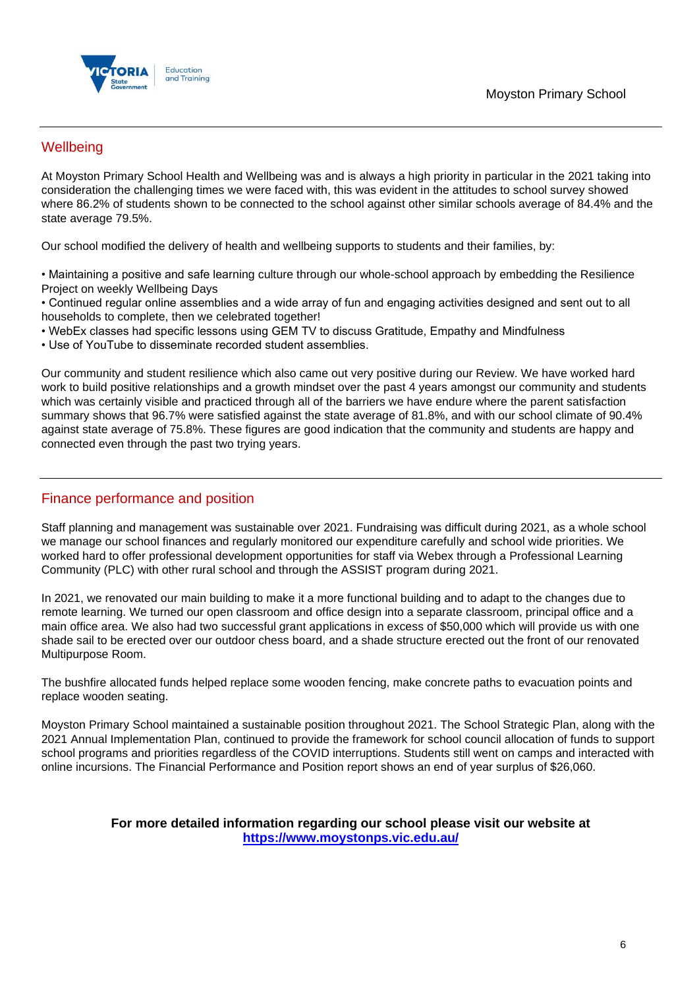

## **Wellbeing**

At Moyston Primary School Health and Wellbeing was and is always a high priority in particular in the 2021 taking into consideration the challenging times we were faced with, this was evident in the attitudes to school survey showed where 86.2% of students shown to be connected to the school against other similar schools average of 84.4% and the state average 79.5%.

Our school modified the delivery of health and wellbeing supports to students and their families, by:

• Maintaining a positive and safe learning culture through our whole-school approach by embedding the Resilience Project on weekly Wellbeing Days

• Continued regular online assemblies and a wide array of fun and engaging activities designed and sent out to all households to complete, then we celebrated together!

• WebEx classes had specific lessons using GEM TV to discuss Gratitude, Empathy and Mindfulness

• Use of YouTube to disseminate recorded student assemblies.

Our community and student resilience which also came out very positive during our Review. We have worked hard work to build positive relationships and a growth mindset over the past 4 years amongst our community and students which was certainly visible and practiced through all of the barriers we have endure where the parent satisfaction summary shows that 96.7% were satisfied against the state average of 81.8%, and with our school climate of 90.4% against state average of 75.8%. These figures are good indication that the community and students are happy and connected even through the past two trying years.

## Finance performance and position

Staff planning and management was sustainable over 2021. Fundraising was difficult during 2021, as a whole school we manage our school finances and regularly monitored our expenditure carefully and school wide priorities. We worked hard to offer professional development opportunities for staff via Webex through a Professional Learning Community (PLC) with other rural school and through the ASSIST program during 2021.

In 2021, we renovated our main building to make it a more functional building and to adapt to the changes due to remote learning. We turned our open classroom and office design into a separate classroom, principal office and a main office area. We also had two successful grant applications in excess of \$50,000 which will provide us with one shade sail to be erected over our outdoor chess board, and a shade structure erected out the front of our renovated Multipurpose Room.

The bushfire allocated funds helped replace some wooden fencing, make concrete paths to evacuation points and replace wooden seating.

Moyston Primary School maintained a sustainable position throughout 2021. The School Strategic Plan, along with the 2021 Annual Implementation Plan, continued to provide the framework for school council allocation of funds to support school programs and priorities regardless of the COVID interruptions. Students still went on camps and interacted with online incursions. The Financial Performance and Position report shows an end of year surplus of \$26,060.

## **For more detailed information regarding our school please visit our website at <https://www.moystonps.vic.edu.au/>**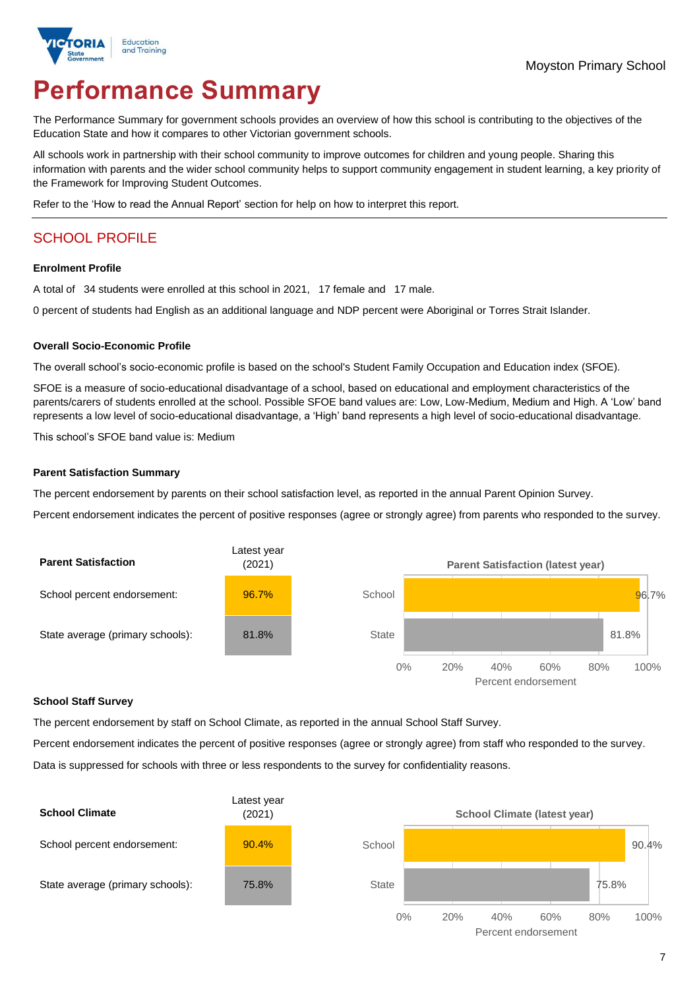

# **Performance Summary**

The Performance Summary for government schools provides an overview of how this school is contributing to the objectives of the Education State and how it compares to other Victorian government schools.

All schools work in partnership with their school community to improve outcomes for children and young people. Sharing this information with parents and the wider school community helps to support community engagement in student learning, a key priority of the Framework for Improving Student Outcomes.

Refer to the 'How to read the Annual Report' section for help on how to interpret this report.

# SCHOOL PROFILE

### **Enrolment Profile**

A total of 34 students were enrolled at this school in 2021, 17 female and 17 male.

0 percent of students had English as an additional language and NDP percent were Aboriginal or Torres Strait Islander.

### **Overall Socio-Economic Profile**

The overall school's socio-economic profile is based on the school's Student Family Occupation and Education index (SFOE).

SFOE is a measure of socio-educational disadvantage of a school, based on educational and employment characteristics of the parents/carers of students enrolled at the school. Possible SFOE band values are: Low, Low-Medium, Medium and High. A 'Low' band represents a low level of socio-educational disadvantage, a 'High' band represents a high level of socio-educational disadvantage.

This school's SFOE band value is: Medium

### **Parent Satisfaction Summary**

The percent endorsement by parents on their school satisfaction level, as reported in the annual Parent Opinion Survey.

Percent endorsement indicates the percent of positive responses (agree or strongly agree) from parents who responded to the survey.



#### **School Staff Survey**

The percent endorsement by staff on School Climate, as reported in the annual School Staff Survey.

Percent endorsement indicates the percent of positive responses (agree or strongly agree) from staff who responded to the survey.

Data is suppressed for schools with three or less respondents to the survey for confidentiality reasons.

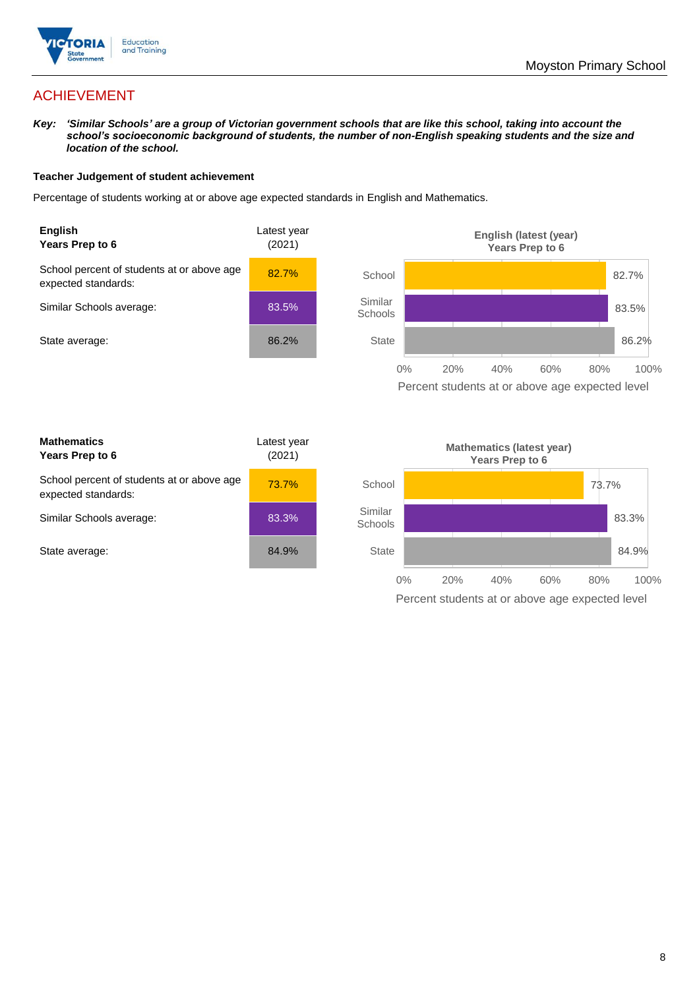

# ACHIEVEMENT

*Key: 'Similar Schools' are a group of Victorian government schools that are like this school, taking into account the school's socioeconomic background of students, the number of non-English speaking students and the size and location of the school.*

### **Teacher Judgement of student achievement**

Percentage of students working at or above age expected standards in English and Mathematics.



Percent students at or above age expected level

| <b>Mathematics</b><br>Years Prep to 6                             | Latest year<br>(2021) |
|-------------------------------------------------------------------|-----------------------|
| School percent of students at or above age<br>expected standards: | 73.7%                 |
| Similar Schools average:                                          | 83.3%                 |
| State average:                                                    | 84.9%                 |

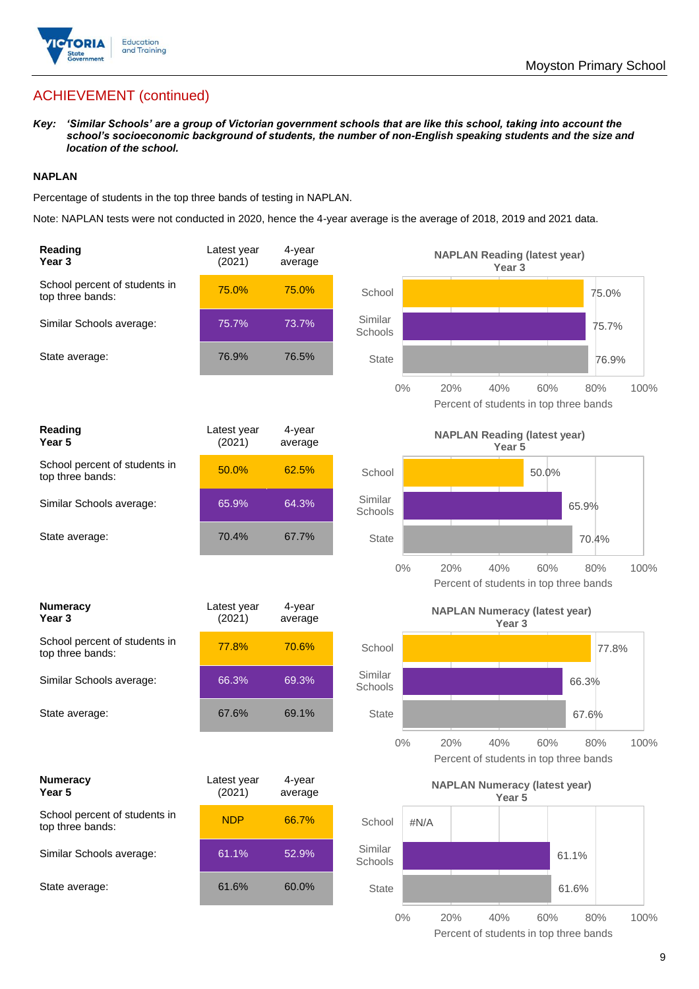

# ACHIEVEMENT (continued)

*Key: 'Similar Schools' are a group of Victorian government schools that are like this school, taking into account the school's socioeconomic background of students, the number of non-English speaking students and the size and location of the school.*

## **NAPLAN**

Percentage of students in the top three bands of testing in NAPLAN.

Note: NAPLAN tests were not conducted in 2020, hence the 4-year average is the average of 2018, 2019 and 2021 data.

| Reading<br>Year 3                                 | Latest year<br>(2021) | 4-year<br>average |                    |      | <b>NAPLAN Reading (latest year)</b><br>Year 3 |                                                      |       |
|---------------------------------------------------|-----------------------|-------------------|--------------------|------|-----------------------------------------------|------------------------------------------------------|-------|
| School percent of students in<br>top three bands: | 75.0%                 | 75.0%             | School             |      |                                               |                                                      | 75.0% |
| Similar Schools average:                          | 75.7%                 | 73.7%             | Similar<br>Schools |      |                                               |                                                      | 75.7% |
| State average:                                    | 76.9%                 | 76.5%             | State              |      |                                               |                                                      | 76.9% |
|                                                   |                       |                   | $0\%$              | 20%  | 40%                                           | 60%<br>80%<br>Percent of students in top three bands | 100%  |
| Reading<br>Year <sub>5</sub>                      | Latest year<br>(2021) | 4-year<br>average |                    |      | <b>NAPLAN Reading (latest year)</b><br>Year 5 |                                                      |       |
| School percent of students in<br>top three bands: | 50.0%                 | 62.5%             | School             |      |                                               | 50.0%                                                |       |
| Similar Schools average:                          | 65.9%                 | 64.3%             | Similar<br>Schools |      |                                               | 65.9%                                                |       |
| State average:                                    | 70.4%                 | 67.7%             | <b>State</b>       |      |                                               | 70.4%                                                |       |
|                                                   |                       |                   | $0\%$              | 20%  | 40%                                           | 60%<br>80%<br>Percent of students in top three bands | 100%  |
| <b>Numeracy</b>                                   | Latest year           | 4-year            |                    |      | <b>NAPLAN Numeracy (latest year)</b>          |                                                      |       |
| Year <sub>3</sub>                                 | (2021)                | average           |                    |      | Year <sub>3</sub>                             |                                                      |       |
| School percent of students in<br>top three bands: | 77.8%                 | 70.6%             | School             |      |                                               |                                                      | 77.8% |
| Similar Schools average:                          | 66.3%                 | 69.3%             | Similar<br>Schools |      |                                               | 66.3%                                                |       |
| State average:                                    | 67.6%                 | 69.1%             | <b>State</b>       |      |                                               | 67.6%                                                |       |
|                                                   |                       |                   | $0\%$              | 20%  | 40%                                           | 60%<br>80%<br>Percent of students in top three bands | 100%  |
| <b>Numeracy</b><br>Year 5                         | Latest year<br>(2021) | 4-year<br>average |                    |      | Year 5                                        | <b>NAPLAN Numeracy (latest year)</b>                 |       |
| School percent of students in<br>top three bands: | <b>NDP</b>            | 66.7%             | School             | #N/A |                                               |                                                      |       |
| Similar Schools average:                          | 61.1%                 | 52.9%             | Similar<br>Schools |      |                                               | 61.1%                                                |       |
| State average:                                    | 61.6%                 | 60.0%             | <b>State</b>       |      |                                               | 61.6%                                                |       |

9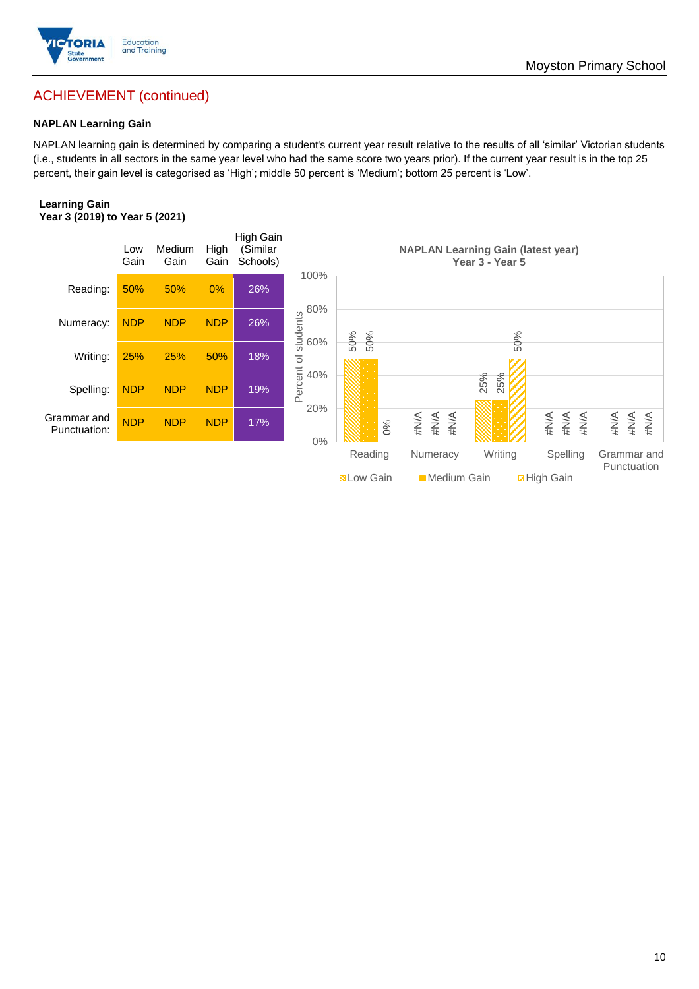

## Moyston Primary School

# ACHIEVEMENT (continued)

## **NAPLAN Learning Gain**

NAPLAN learning gain is determined by comparing a student's current year result relative to the results of all 'similar' Victorian students (i.e., students in all sectors in the same year level who had the same score two years prior). If the current year result is in the top 25 percent, their gain level is categorised as 'High'; middle 50 percent is 'Medium'; bottom 25 percent is 'Low'.

### **Learning Gain Year 3 (2019) to Year 5 (2021)**

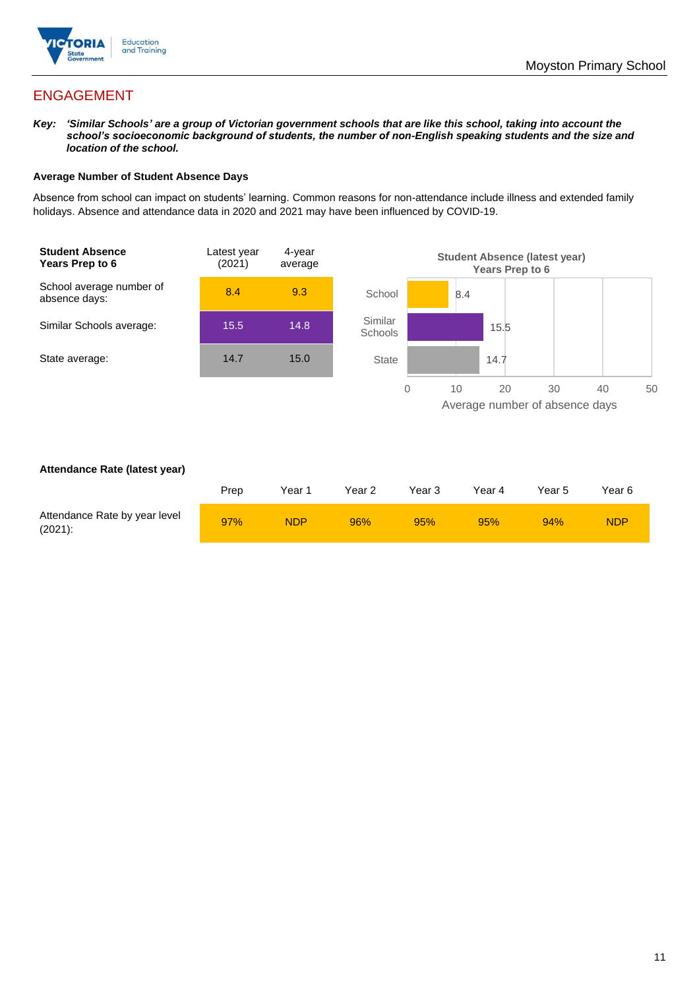

# ENGAGEMENT

*Key: 'Similar Schools' are a group of Victorian government schools that are like this school, taking into account the school's socioeconomic background of students, the number of non-English speaking students and the size and location of the school.*

### **Average Number of Student Absence Days**

Absence from school can impact on students' learning. Common reasons for non-attendance include illness and extended family holidays. Absence and attendance data in 2020 and 2021 may have been influenced by COVID-19.



### **Attendance Rate (latest year)**

|                                             | Prep | Year 1     | Year 2 | Year 3 | Year 4 | Year 5 | Year 6     |
|---------------------------------------------|------|------------|--------|--------|--------|--------|------------|
| Attendance Rate by year level<br>$(2021)$ : | 97%  | <b>NDP</b> | 96%    | 95%    | 95%    | 94%    | <b>NDP</b> |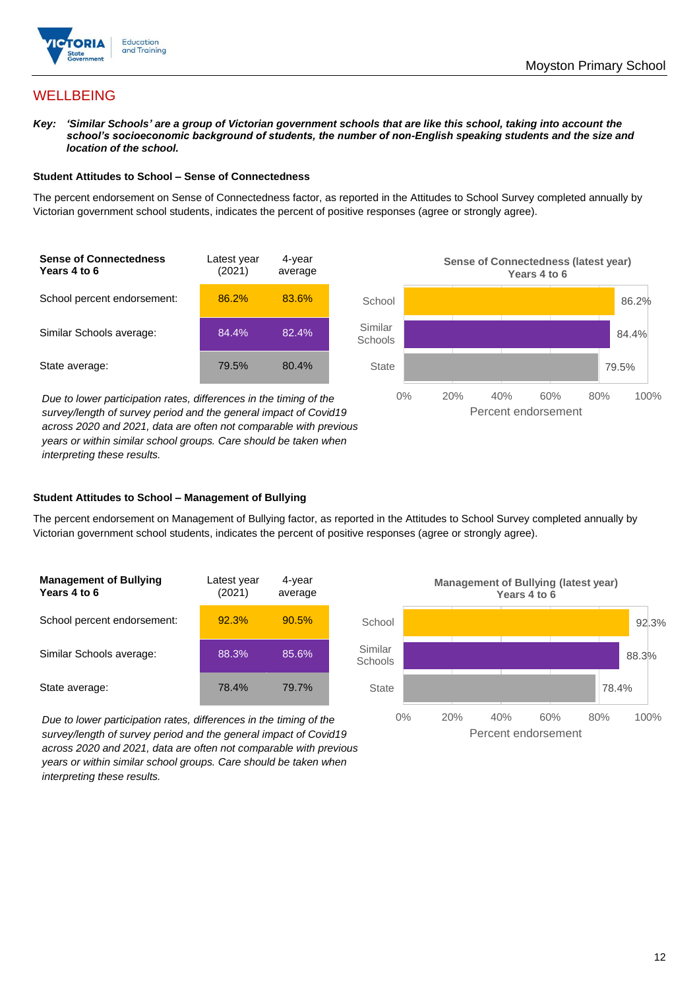

## **WELLBEING**

*Key: 'Similar Schools' are a group of Victorian government schools that are like this school, taking into account the school's socioeconomic background of students, the number of non-English speaking students and the size and location of the school.*

#### **Student Attitudes to School – Sense of Connectedness**

The percent endorsement on Sense of Connectedness factor, as reported in the Attitudes to School Survey completed annually by Victorian government school students, indicates the percent of positive responses (agree or strongly agree).



*Due to lower participation rates, differences in the timing of the survey/length of survey period and the general impact of Covid19 across 2020 and 2021, data are often not comparable with previous years or within similar school groups. Care should be taken when interpreting these results.*



#### **Student Attitudes to School – Management of Bullying**

The percent endorsement on Management of Bullying factor, as reported in the Attitudes to School Survey completed annually by Victorian government school students, indicates the percent of positive responses (agree or strongly agree).

| <b>Management of Bullying</b><br>Years 4 to 6 | Latest year<br>(2021) | 4-year<br>average |  |
|-----------------------------------------------|-----------------------|-------------------|--|
| School percent endorsement:                   | 92.3%                 | 90.5%             |  |
| Similar Schools average:                      | 88.3%                 | 85.6%             |  |
| State average:                                | 78.4%                 | 79.7%             |  |

*Due to lower participation rates, differences in the timing of the survey/length of survey period and the general impact of Covid19 across 2020 and 2021, data are often not comparable with previous years or within similar school groups. Care should be taken when interpreting these results.*

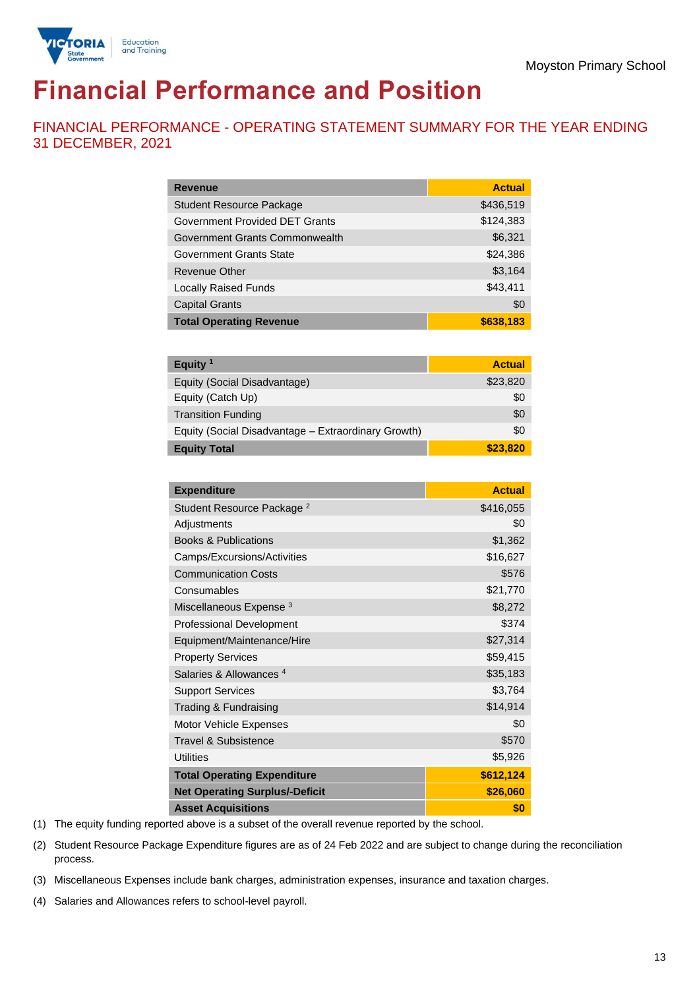

# **Financial Performance and Position**

FINANCIAL PERFORMANCE - OPERATING STATEMENT SUMMARY FOR THE YEAR ENDING 31 DECEMBER, 2021

| <b>Revenue</b>                  | <b>Actual</b> |
|---------------------------------|---------------|
| <b>Student Resource Package</b> | \$436,519     |
| Government Provided DET Grants  | \$124,383     |
| Government Grants Commonwealth  | \$6,321       |
| Government Grants State         | \$24,386      |
| <b>Revenue Other</b>            | \$3,164       |
| <b>Locally Raised Funds</b>     | \$43,411      |
| <b>Capital Grants</b>           | \$0           |
| <b>Total Operating Revenue</b>  | \$638,183     |

| Equity <sup>1</sup>                                 | <b>Actual</b> |
|-----------------------------------------------------|---------------|
| Equity (Social Disadvantage)                        | \$23,820      |
| Equity (Catch Up)                                   | \$0           |
| <b>Transition Funding</b>                           | \$0           |
| Equity (Social Disadvantage - Extraordinary Growth) | \$0           |
| <b>Equity Total</b>                                 | \$23,820      |

| <b>Expenditure</b>                    | <b>Actual</b> |
|---------------------------------------|---------------|
| Student Resource Package <sup>2</sup> | \$416,055     |
| Adjustments                           | \$0           |
| <b>Books &amp; Publications</b>       | \$1,362       |
| Camps/Excursions/Activities           | \$16,627      |
| <b>Communication Costs</b>            | \$576         |
| Consumables                           | \$21,770      |
| Miscellaneous Expense <sup>3</sup>    | \$8,272       |
| <b>Professional Development</b>       | \$374         |
| Equipment/Maintenance/Hire            | \$27,314      |
| <b>Property Services</b>              | \$59,415      |
| Salaries & Allowances <sup>4</sup>    | \$35,183      |
| <b>Support Services</b>               | \$3,764       |
| Trading & Fundraising                 | \$14,914      |
| Motor Vehicle Expenses                | \$0           |
| <b>Travel &amp; Subsistence</b>       | \$570         |
| <b>Utilities</b>                      | \$5,926       |
| <b>Total Operating Expenditure</b>    | \$612,124     |
| <b>Net Operating Surplus/-Deficit</b> | \$26,060      |
| <b>Asset Acquisitions</b>             | \$0           |

(1) The equity funding reported above is a subset of the overall revenue reported by the school.

(2) Student Resource Package Expenditure figures are as of 24 Feb 2022 and are subject to change during the reconciliation process.

(3) Miscellaneous Expenses include bank charges, administration expenses, insurance and taxation charges.

(4) Salaries and Allowances refers to school-level payroll.